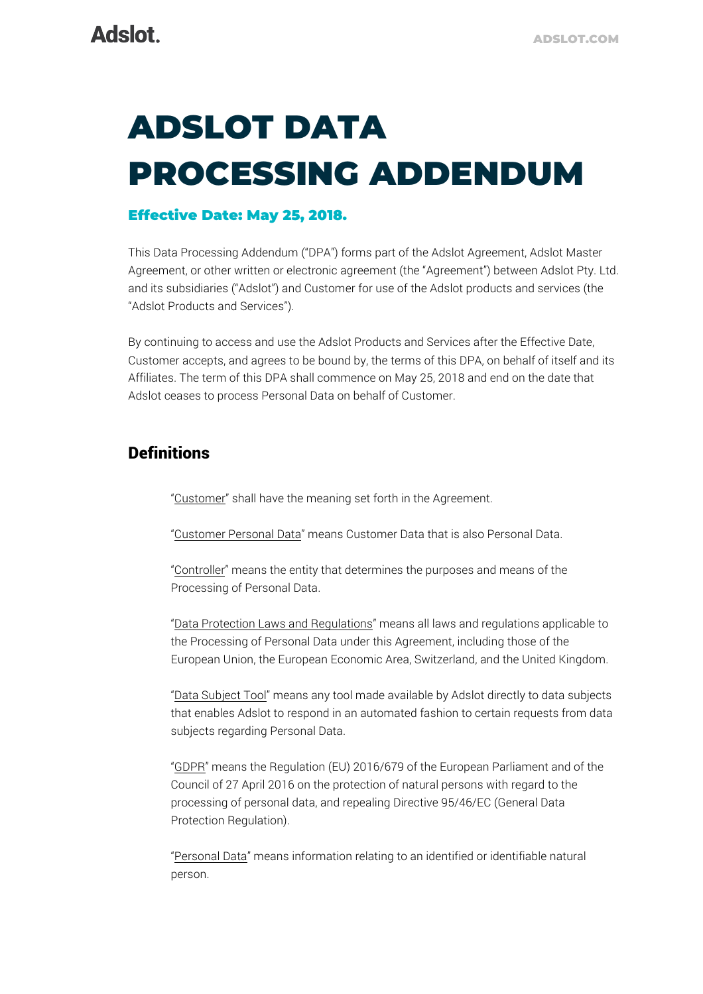# ADSLOT DATA PROCESSING ADDENDUM

### Effective Date: May 25, 2018.

This Data Processing Addendum ("DPA") forms part of the Adslot Agreement, Adslot Master Agreement, or other written or electronic agreement (the "Agreement") between Adslot Pty. Ltd. and its subsidiaries ("Adslot") and Customer for use of the Adslot products and services (the "Adslot Products and Services").

By continuing to access and use the Adslot Products and Services after the Effective Date, Customer accepts, and agrees to be bound by, the terms of this DPA, on behalf of itself and its Affiliates. The term of this DPA shall commence on May 25, 2018 and end on the date that Adslot ceases to process Personal Data on behalf of Customer.

# **Definitions**

"Customer" shall have the meaning set forth in the Agreement.

"Customer Personal Data" means Customer Data that is also Personal Data.

"Controller" means the entity that determines the purposes and means of the Processing of Personal Data.

"Data Protection Laws and Regulations" means all laws and regulations applicable to the Processing of Personal Data under this Agreement, including those of the European Union, the European Economic Area, Switzerland, and the United Kingdom.

"Data Subject Tool" means any tool made available by Adslot directly to data subjects that enables Adslot to respond in an automated fashion to certain requests from data subjects regarding Personal Data.

"GDPR" means the Regulation (EU) 2016/679 of the European Parliament and of the Council of 27 April 2016 on the protection of natural persons with regard to the processing of personal data, and repealing Directive 95/46/EC (General Data Protection Regulation).

"Personal Data" means information relating to an identified or identifiable natural person.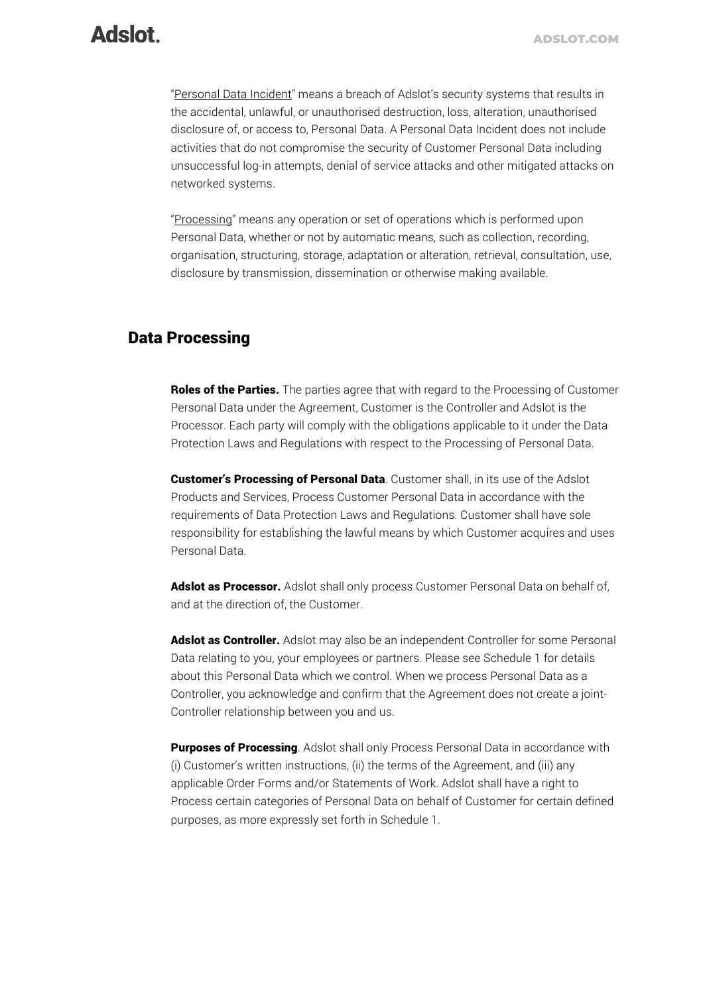# **Adslot**

"Personal Data Incident" means a breach of Adslot's security systems that results in the accidental, unlawful, or unauthorised destruction, loss, alteration, unauthorised disclosure of, or access to, Personal Data. A Personal Data Incident does not include activities that do not compromise the security of Customer Personal Data including unsuccessful log-in attempts, denial of service attacks and other mitigated attacks on networked systems.

"Processing" means any operation or set of operations which is performed upon Personal Data, whether or not by automatic means, such as collection, recording, organisation, structuring, storage, adaptation or alteration, retrieval, consultation, use, disclosure by transmission, dissemination or otherwise making available.

### Data Processing

Roles of the Parties. The parties agree that with regard to the Processing of Customer Personal Data under the Agreement, Customer is the Controller and Adslot is the Processor. Each party will comply with the obligations applicable to it under the Data Protection Laws and Regulations with respect to the Processing of Personal Data.

**Customer's Processing of Personal Data**. Customer shall, in its use of the Adslot Products and Services, Process Customer Personal Data in accordance with the requirements of Data Protection Laws and Regulations. Customer shall have sole responsibility for establishing the lawful means by which Customer acquires and uses Personal Data.

Adslot as Processor. Adslot shall only process Customer Personal Data on behalf of, and at the direction of, the Customer.

Adslot as Controller. Adslot may also be an independent Controller for some Personal Data relating to you, your employees or partners. Please see Schedule 1 for details about this Personal Data which we control. When we process Personal Data as a Controller, you acknowledge and confirm that the Agreement does not create a joint-Controller relationship between you and us.

**Purposes of Processing**. Adslot shall only Process Personal Data in accordance with (i) Customer's written instructions, (ii) the terms of the Agreement, and (iii) any applicable Order Forms and/or Statements of Work. Adslot shall have a right to Process certain categories of Personal Data on behalf of Customer for certain defined purposes, as more expressly set forth in Schedule 1.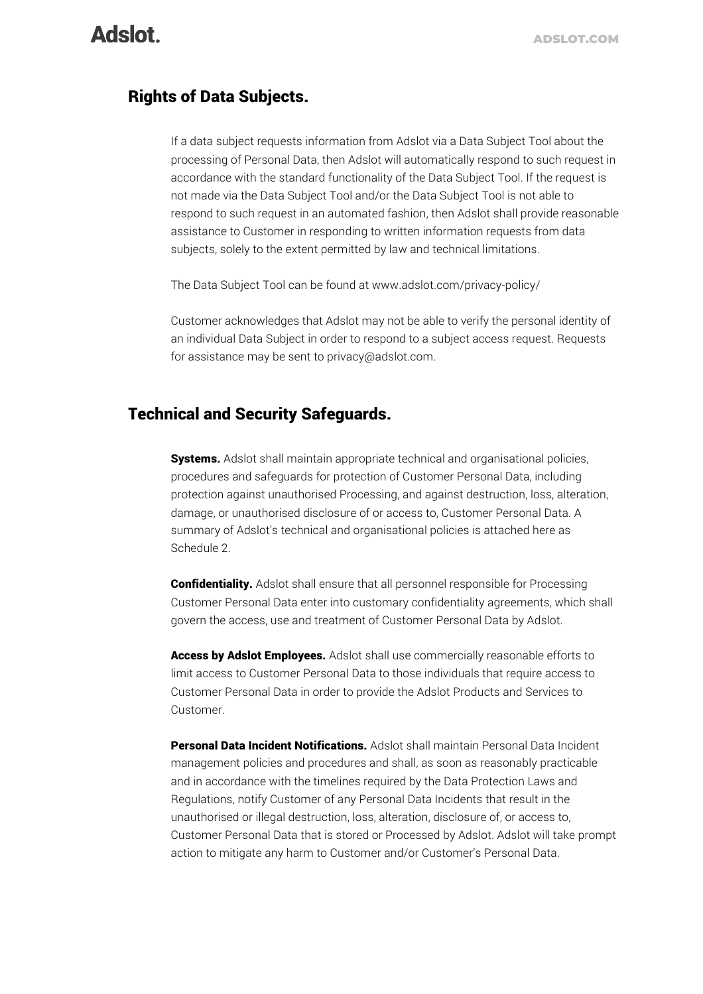### Rights of Data Subjects.

If a data subject requests information from Adslot via a Data Subject Tool about the processing of Personal Data, then Adslot will automatically respond to such request in accordance with the standard functionality of the Data Subject Tool. If the request is not made via the Data Subject Tool and/or the Data Subject Tool is not able to respond to such request in an automated fashion, then Adslot shall provide reasonable assistance to Customer in responding to written information requests from data subjects, solely to the extent permitted by law and technical limitations.

The Data Subject Tool can be found at www.adslot.com/privacy-policy/

Customer acknowledges that Adslot may not be able to verify the personal identity of an individual Data Subject in order to respond to a subject access request. Requests for assistance may be sent to privacy@adslot.com.

# Technical and Security Safeguards.

Systems. Adslot shall maintain appropriate technical and organisational policies, procedures and safeguards for protection of Customer Personal Data, including protection against unauthorised Processing, and against destruction, loss, alteration, damage, or unauthorised disclosure of or access to, Customer Personal Data. A summary of Adslot's technical and organisational policies is attached here as Schedule 2.

**Confidentiality.** Adslot shall ensure that all personnel responsible for Processing Customer Personal Data enter into customary confidentiality agreements, which shall govern the access, use and treatment of Customer Personal Data by Adslot.

Access by Adslot Employees. Adslot shall use commercially reasonable efforts to limit access to Customer Personal Data to those individuals that require access to Customer Personal Data in order to provide the Adslot Products and Services to Customer.

**Personal Data Incident Notifications.** Adslot shall maintain Personal Data Incident management policies and procedures and shall, as soon as reasonably practicable and in accordance with the timelines required by the Data Protection Laws and Regulations, notify Customer of any Personal Data Incidents that result in the unauthorised or illegal destruction, loss, alteration, disclosure of, or access to, Customer Personal Data that is stored or Processed by Adslot. Adslot will take prompt action to mitigate any harm to Customer and/or Customer's Personal Data.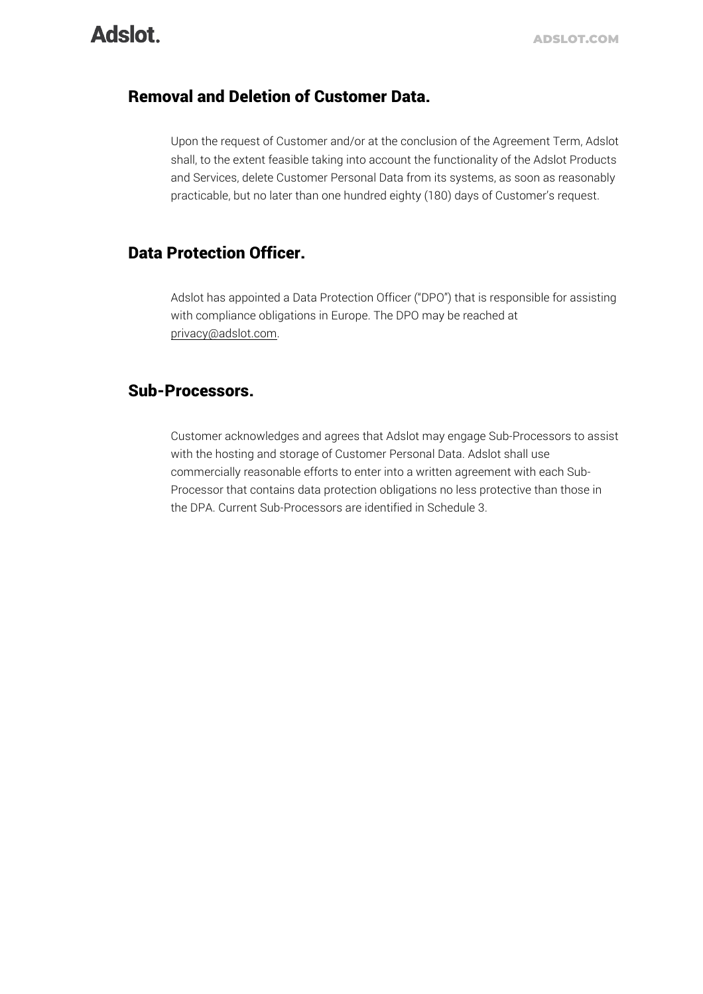# **Adslot**

## Removal and Deletion of Customer Data.

Upon the request of Customer and/or at the conclusion of the Agreement Term, Adslot shall, to the extent feasible taking into account the functionality of the Adslot Products and Services, delete Customer Personal Data from its systems, as soon as reasonably practicable, but no later than one hundred eighty (180) days of Customer's request.

# Data Protection Officer.

Adslot has appointed a Data Protection Officer ("DPO") that is responsible for assisting with compliance obligations in Europe. The DPO may be reached at privacy@adslot.com.

### Sub-Processors.

Customer acknowledges and agrees that Adslot may engage Sub-Processors to assist with the hosting and storage of Customer Personal Data. Adslot shall use commercially reasonable efforts to enter into a written agreement with each Sub-Processor that contains data protection obligations no less protective than those in the DPA. Current Sub-Processors are identified in Schedule 3.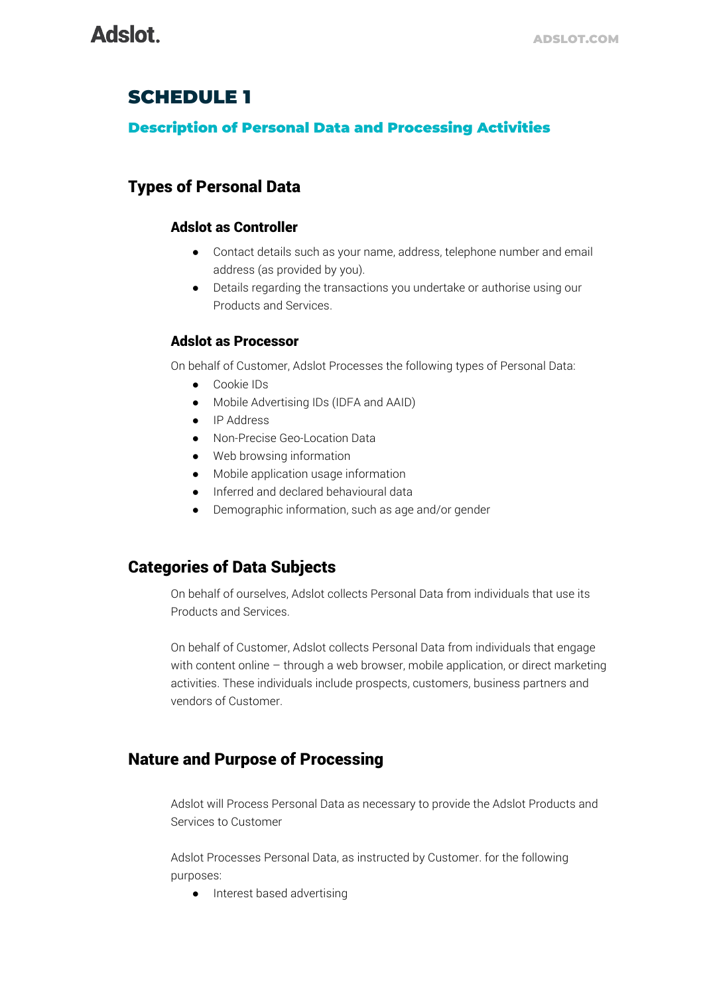# SCHEDULE 1

### Description of Personal Data and Processing Activities

# Types of Personal Data

#### Adslot as Controller

- Contact details such as your name, address, telephone number and email address (as provided by you).
- Details regarding the transactions you undertake or authorise using our Products and Services.

#### Adslot as Processor

On behalf of Customer, Adslot Processes the following types of Personal Data:

- Cookie IDs
- Mobile Advertising IDs (IDFA and AAID)
- IP Address
- Non-Precise Geo-Location Data
- Web browsing information
- Mobile application usage information
- Inferred and declared behavioural data
- Demographic information, such as age and/or gender

# Categories of Data Subjects

On behalf of ourselves, Adslot collects Personal Data from individuals that use its Products and Services.

On behalf of Customer, Adslot collects Personal Data from individuals that engage with content online – through a web browser, mobile application, or direct marketing activities. These individuals include prospects, customers, business partners and vendors of Customer.

# Nature and Purpose of Processing

Adslot will Process Personal Data as necessary to provide the Adslot Products and Services to Customer

Adslot Processes Personal Data, as instructed by Customer. for the following purposes:

● Interest based advertising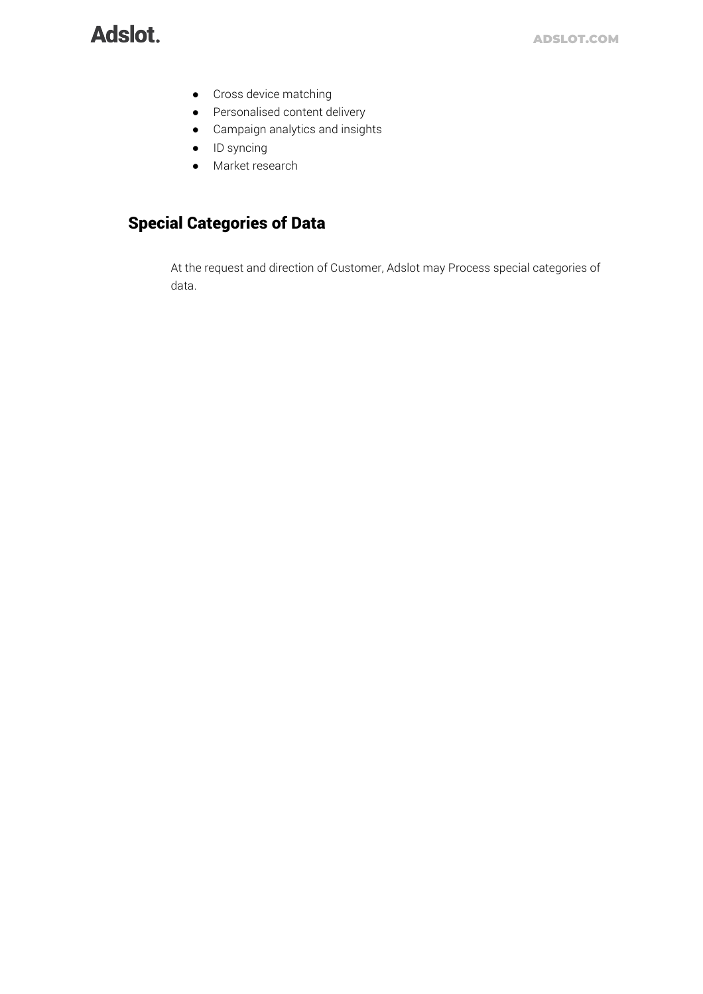# **Adslot**

- Cross device matching
- Personalised content delivery
- Campaign analytics and insights
- ID syncing
- Market research

# Special Categories of Data

At the request and direction of Customer, Adslot may Process special categories of data.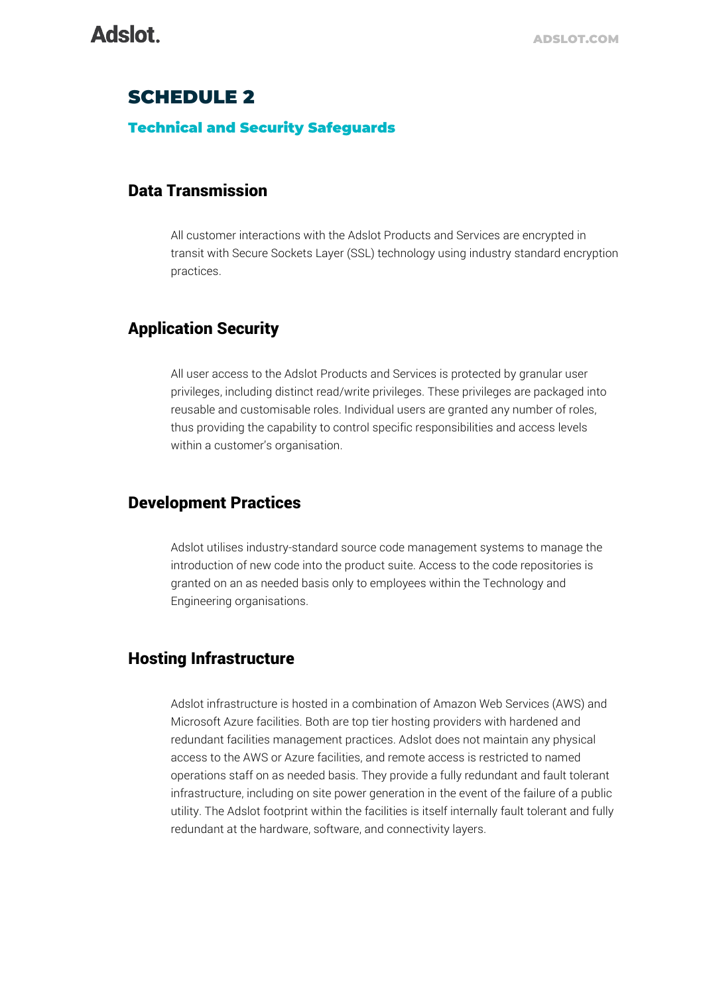# SCHEDULE 2

#### Technical and Security Safeguards

### Data Transmission

All customer interactions with the Adslot Products and Services are encrypted in transit with Secure Sockets Layer (SSL) technology using industry standard encryption practices.

### Application Security

All user access to the Adslot Products and Services is protected by granular user privileges, including distinct read/write privileges. These privileges are packaged into reusable and customisable roles. Individual users are granted any number of roles, thus providing the capability to control specific responsibilities and access levels within a customer's organisation.

### Development Practices

Adslot utilises industry-standard source code management systems to manage the introduction of new code into the product suite. Access to the code repositories is granted on an as needed basis only to employees within the Technology and Engineering organisations.

### Hosting Infrastructure

Adslot infrastructure is hosted in a combination of Amazon Web Services (AWS) and Microsoft Azure facilities. Both are top tier hosting providers with hardened and redundant facilities management practices. Adslot does not maintain any physical access to the AWS or Azure facilities, and remote access is restricted to named operations staff on as needed basis. They provide a fully redundant and fault tolerant infrastructure, including on site power generation in the event of the failure of a public utility. The Adslot footprint within the facilities is itself internally fault tolerant and fully redundant at the hardware, software, and connectivity layers.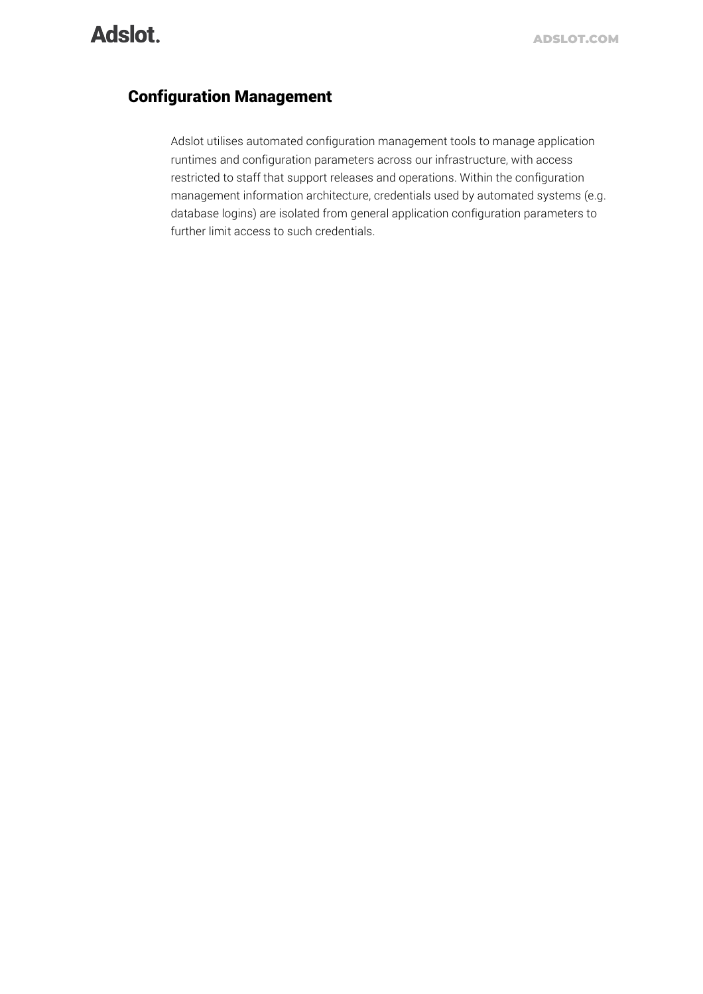# Adslot.

# Configuration Management

Adslot utilises automated configuration management tools to manage application runtimes and configuration parameters across our infrastructure, with access restricted to staff that support releases and operations. Within the configuration management information architecture, credentials used by automated systems (e.g. database logins) are isolated from general application configuration parameters to further limit access to such credentials.